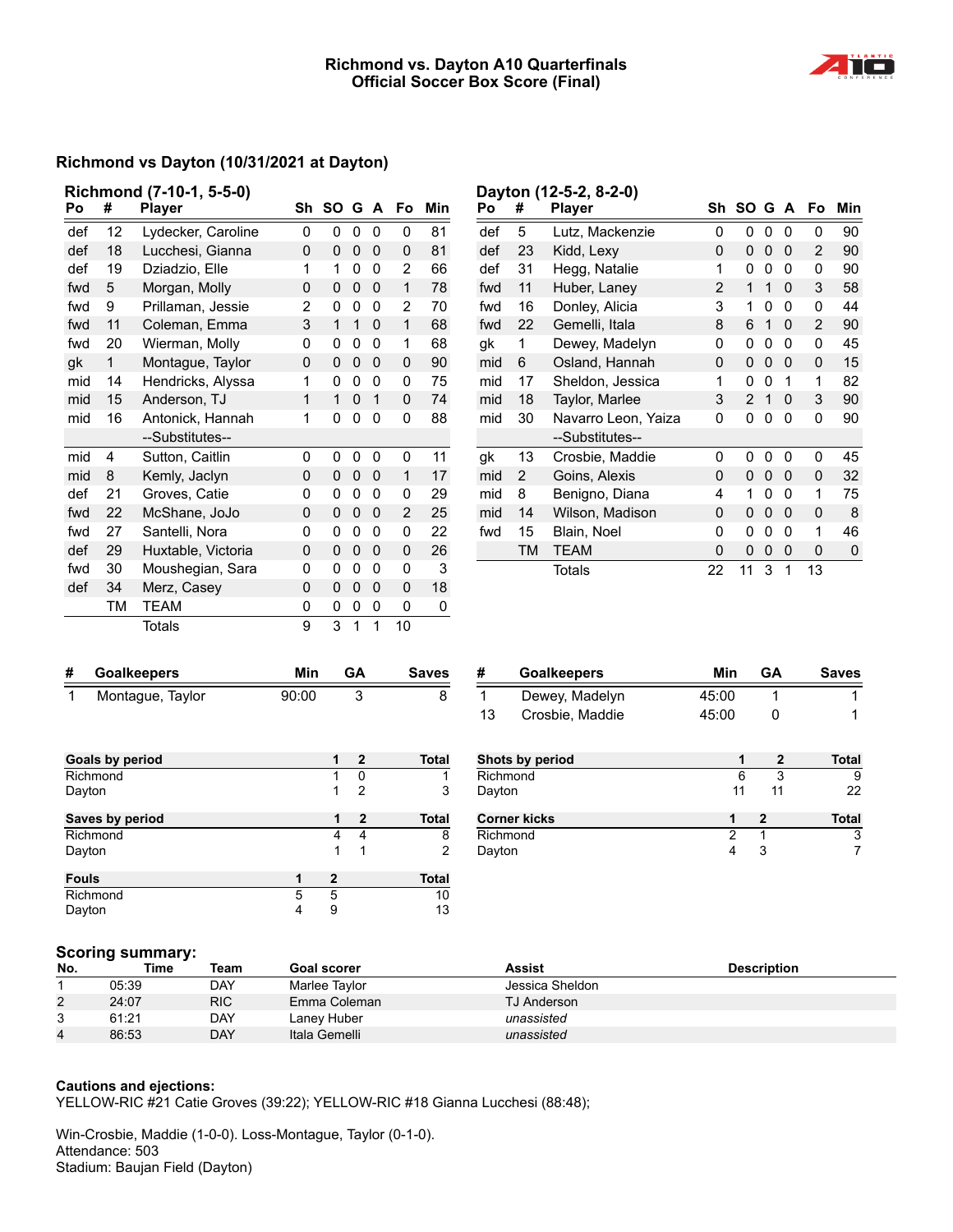### **Richmond vs. Dayton A10 Quarterfinals Official Soccer Box Score (Final)**

**Dayton (12-5-2, 8-2-0)**



### **Richmond vs Dayton (10/31/2021 at Dayton)**

|     |           | Richmond (7-10-1, 5-5-0) |    |    |   |              |    |     |
|-----|-----------|--------------------------|----|----|---|--------------|----|-----|
| Po  | #         | <b>Player</b>            | Sh | SΟ | G | $\mathbf{A}$ | Fo | Min |
| def | 12        | Lydecker, Caroline       | 0  | 0  | 0 | 0            | 0  | 81  |
| def | 18        | Lucchesi, Gianna         | 0  | 0  | 0 | 0            | 0  | 81  |
| def | 19        | Dziadzio, Elle           | 1  | 1  | 0 | 0            | 2  | 66  |
| fwd | 5         | Morgan, Molly            | 0  | 0  | 0 | 0            | 1  | 78  |
| fwd | 9         | Prillaman, Jessie        | 2  | 0  | 0 | 0            | 2  | 70  |
| fwd | 11        | Coleman, Emma            | 3  | 1  | 1 | 0            | 1  | 68  |
| fwd | 20        | Wierman, Molly           | 0  | 0  | 0 | 0            | 1  | 68  |
| gk  | 1         | Montague, Taylor         | 0  | 0  | 0 | 0            | 0  | 90  |
| mid | 14        | Hendricks, Alyssa        | 1  | 0  | 0 | 0            | 0  | 75  |
| mid | 15        | Anderson, TJ             | 1  | 1  | 0 | 1            | 0  | 74  |
| mid | 16        | Antonick, Hannah         | 1  | 0  | 0 | 0            | 0  | 88  |
|     |           | --Substitutes--          |    |    |   |              |    |     |
| mid | 4         | Sutton, Caitlin          | 0  | 0  | 0 | 0            | 0  | 11  |
| mid | 8         | Kemly, Jaclyn            | 0  | 0  | 0 | 0            | 1  | 17  |
| def | 21        | Groves, Catie            | 0  | 0  | 0 | 0            | 0  | 29  |
| fwd | 22        | McShane, JoJo            | 0  | 0  | 0 | 0            | 2  | 25  |
| fwd | 27        | Santelli, Nora           | 0  | 0  | 0 | 0            | 0  | 22  |
| def | 29        | Huxtable, Victoria       | 0  | 0  | 0 | 0            | 0  | 26  |
| fwd | 30        | Moushegian, Sara         | 0  | 0  | 0 | 0            | 0  | 3   |
| def | 34        | Merz, Casey              | 0  | 0  | 0 | 0            | 0  | 18  |
|     | <b>TM</b> | <b>TEAM</b>              | 0  | 0  | 0 | 0            | 0  | 0   |
|     |           | Totals                   | 9  | 3  | 1 | 1            | 10 |     |

| Po  | #  | <b>Player</b>       | Sh | SΟ | G | A | Fo | Min |
|-----|----|---------------------|----|----|---|---|----|-----|
| def | 5  | Lutz, Mackenzie     | 0  | 0  | 0 | 0 | 0  | 90  |
| def | 23 | Kidd, Lexy          | 0  | 0  | 0 | 0 | 2  | 90  |
| def | 31 | Hegg, Natalie       | 1  | 0  | 0 | 0 | 0  | 90  |
| fwd | 11 | Huber, Laney        | 2  | 1  | 1 | 0 | 3  | 58  |
| fwd | 16 | Donley, Alicia      | 3  | 1  | 0 | 0 | 0  | 44  |
| fwd | 22 | Gemelli, Itala      | 8  | 6  | 1 | 0 | 2  | 90  |
| gk  | 1  | Dewey, Madelyn      | 0  | 0  | 0 | 0 | 0  | 45  |
| mid | 6  | Osland, Hannah      | 0  | 0  | 0 | 0 | 0  | 15  |
| mid | 17 | Sheldon, Jessica    | 1  | 0  | 0 | 1 | 1  | 82  |
| mid | 18 | Taylor, Marlee      | 3  | 2  | 1 | 0 | 3  | 90  |
| mid | 30 | Navarro Leon, Yaiza | 0  | 0  | 0 | 0 | 0  | 90  |
|     |    | --Substitutes--     |    |    |   |   |    |     |
| gk  | 13 | Crosbie, Maddie     | 0  | 0  | 0 | 0 | 0  | 45  |
| mid | 2  | Goins, Alexis       | 0  | 0  | 0 | 0 | 0  | 32  |
| mid | 8  | Benigno, Diana      | 4  | 1  | 0 | 0 | 1  | 75  |
| mid | 14 | Wilson, Madison     | 0  | 0  | 0 | 0 | 0  | 8   |
| fwd | 15 | Blain, Noel         | 0  | 0  | 0 | 0 | 1  | 46  |
|     | TM | TEAM                | 0  | 0  | 0 | 0 | 0  | 0   |
|     |    | Totals              | 22 | 11 | 3 | 1 | 13 |     |

| #            | <b>Goalkeepers</b> | Min   |              | <b>GA</b>      | <b>Saves</b> |
|--------------|--------------------|-------|--------------|----------------|--------------|
| 1            | Montague, Taylor   | 90:00 |              | 3              | 8            |
|              |                    |       |              |                |              |
|              | Goals by period    |       | 1            | $\mathbf{2}$   | <b>Total</b> |
|              | Richmond           |       | 1            | 0              |              |
|              | Dayton             |       | 1            | $\overline{2}$ | 3            |
|              | Saves by period    |       | 1            | $\mathbf{2}$   | <b>Total</b> |
|              | Richmond           |       | 4            | 4              | 8            |
|              | Dayton             |       | 1            | 1              | 2            |
| <b>Fouls</b> |                    | 1     | $\mathbf{2}$ |                | <b>Total</b> |
|              | Richmond           | 5     | 5            |                | 10           |
|              | Dayton             | 4     | 9            |                | 13           |

| #  | <b>Goalkeepers</b> | Min   | GА | <b>Saves</b> |
|----|--------------------|-------|----|--------------|
|    | Dewey, Madelyn     | 45:00 |    |              |
| 13 | Crosbie, Maddie    | 45:00 |    |              |
|    | Shots by period    |       | 2  | Total        |
|    | Richmond           |       |    |              |

| Dayton              | 11 |              |
|---------------------|----|--------------|
| <b>Corner kicks</b> |    | <b>Total</b> |
| Richmond            |    |              |
| Dayton              |    |              |

### **Scoring summary:**

| No.            | Time  | Team       | <b>Goal scorer</b> | Assist             | <b>Description</b> |
|----------------|-------|------------|--------------------|--------------------|--------------------|
|                | 05:39 | DAY        | Marlee Taylor      | Jessica Sheldon    |                    |
| $\overline{2}$ | 24:07 | <b>RIC</b> | Emma Coleman       | <b>TJ Anderson</b> |                    |
| ົ<br>ບ         | 61:21 | <b>DAY</b> | Laney Huber        | unassisted         |                    |
| 4              | 86:53 | <b>DAY</b> | Itala Gemelli      | unassisted         |                    |

#### **Cautions and ejections:**

YELLOW-RIC #21 Catie Groves (39:22); YELLOW-RIC #18 Gianna Lucchesi (88:48);

Win-Crosbie, Maddie (1-0-0). Loss-Montague, Taylor (0-1-0). Attendance: 503 Stadium: Baujan Field (Dayton)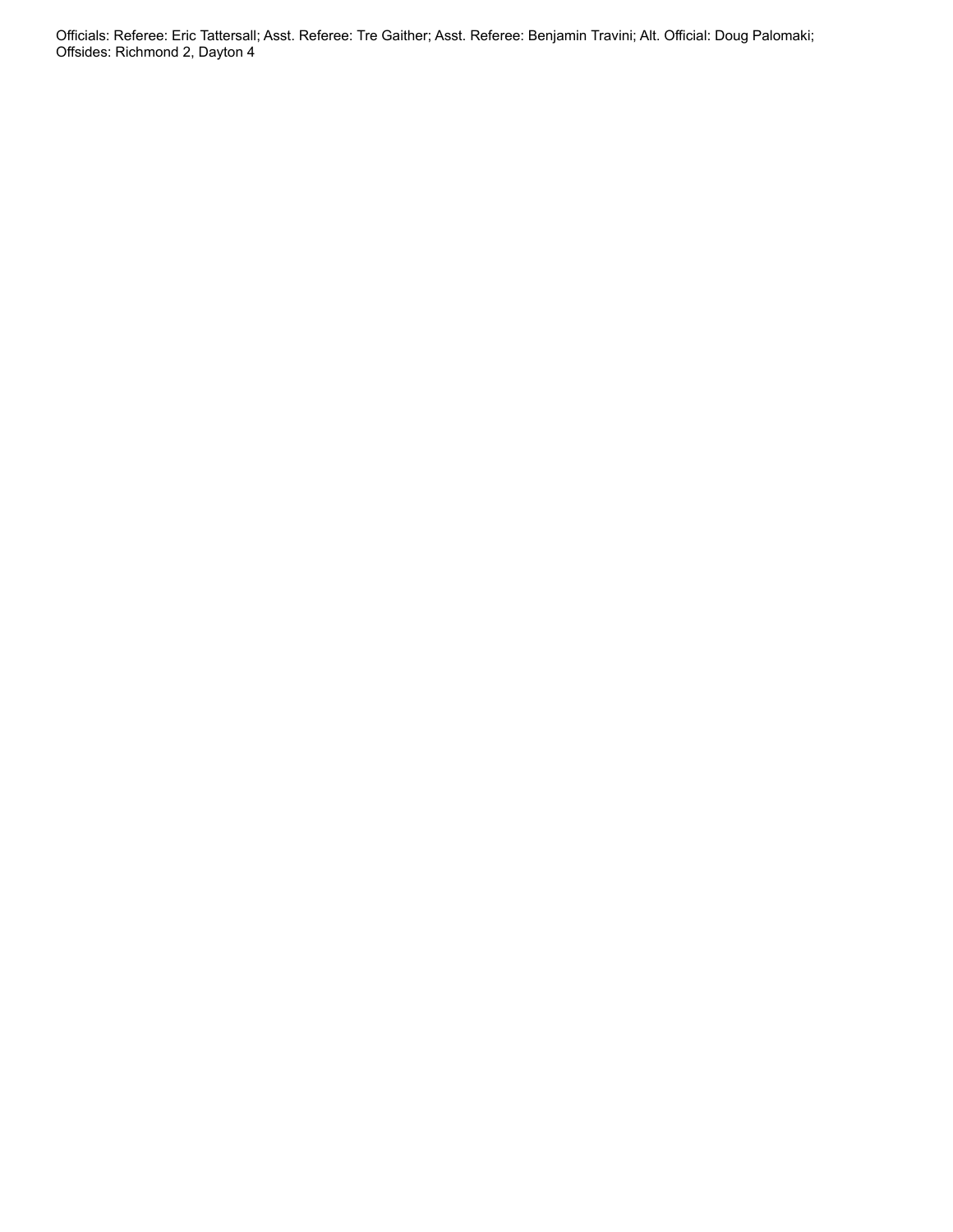Officials: Referee: Eric Tattersall; Asst. Referee: Tre Gaither; Asst. Referee: Benjamin Travini; Alt. Official: Doug Palomaki; Offsides: Richmond 2, Dayton 4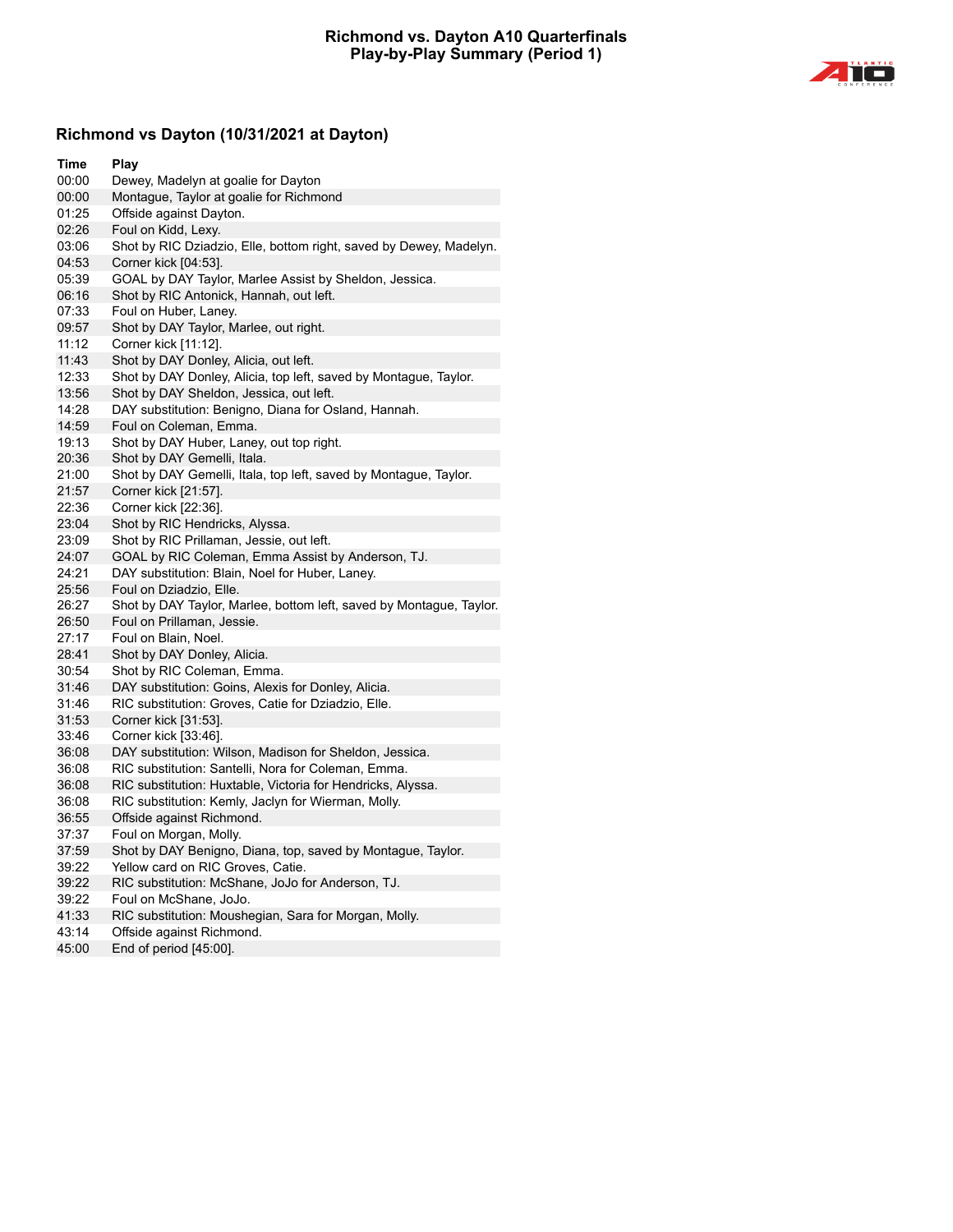

# **Richmond vs Dayton (10/31/2021 at Dayton)**

| Time  | Play                                                                |
|-------|---------------------------------------------------------------------|
| 00:00 | Dewey, Madelyn at goalie for Dayton                                 |
| 00:00 | Montague, Taylor at goalie for Richmond                             |
| 01:25 | Offside against Dayton.                                             |
| 02:26 | Foul on Kidd, Lexy.                                                 |
| 03:06 | Shot by RIC Dziadzio, Elle, bottom right, saved by Dewey, Madelyn.  |
| 04:53 | Corner kick [04:53].                                                |
| 05:39 | GOAL by DAY Taylor, Marlee Assist by Sheldon, Jessica.              |
| 06:16 | Shot by RIC Antonick, Hannah, out left.                             |
| 07:33 | Foul on Huber, Laney.                                               |
| 09:57 | Shot by DAY Taylor, Marlee, out right.                              |
| 11:12 | Corner kick [11:12].                                                |
| 11:43 | Shot by DAY Donley, Alicia, out left.                               |
| 12:33 | Shot by DAY Donley, Alicia, top left, saved by Montague, Taylor.    |
| 13:56 | Shot by DAY Sheldon, Jessica, out left.                             |
| 14:28 | DAY substitution: Benigno, Diana for Osland, Hannah.                |
| 14:59 | Foul on Coleman, Emma.                                              |
| 19:13 | Shot by DAY Huber, Laney, out top right.                            |
| 20:36 | Shot by DAY Gemelli, Itala.                                         |
| 21:00 | Shot by DAY Gemelli, Itala, top left, saved by Montague, Taylor.    |
| 21:57 | Corner kick [21:57].                                                |
| 22:36 | Corner kick [22:36].                                                |
| 23:04 | Shot by RIC Hendricks, Alyssa.                                      |
| 23:09 | Shot by RIC Prillaman, Jessie, out left.                            |
| 24:07 | GOAL by RIC Coleman, Emma Assist by Anderson, TJ.                   |
| 24:21 | DAY substitution: Blain, Noel for Huber, Laney.                     |
| 25:56 | Foul on Dziadzio, Elle.                                             |
| 26:27 | Shot by DAY Taylor, Marlee, bottom left, saved by Montague, Taylor. |
| 26:50 | Foul on Prillaman, Jessie.                                          |
| 27:17 | Foul on Blain, Noel.                                                |
| 28:41 | Shot by DAY Donley, Alicia.                                         |
| 30:54 | Shot by RIC Coleman, Emma.                                          |
| 31:46 | DAY substitution: Goins, Alexis for Donley, Alicia.                 |
| 31:46 | RIC substitution: Groves, Catie for Dziadzio, Elle.                 |
| 31:53 | Corner kick [31:53].                                                |
| 33:46 | Corner kick [33:46].                                                |
| 36:08 | DAY substitution: Wilson, Madison for Sheldon, Jessica.             |
| 36:08 | RIC substitution: Santelli, Nora for Coleman, Emma.                 |
| 36:08 | RIC substitution: Huxtable, Victoria for Hendricks, Alyssa.         |
| 36:08 | RIC substitution: Kemly, Jaclyn for Wierman, Molly.                 |
| 36:55 | Offside against Richmond.                                           |
| 37:37 | Foul on Morgan, Molly.                                              |
| 37:59 | Shot by DAY Benigno, Diana, top, saved by Montague, Taylor.         |
| 39:22 | Yellow card on RIC Groves, Catie.                                   |
| 39:22 | RIC substitution: McShane, JoJo for Anderson, TJ.                   |
| 39:22 | Foul on McShane, JoJo.                                              |
| 41:33 | RIC substitution: Moushegian, Sara for Morgan, Molly.               |
| 43:14 | Offside against Richmond.                                           |
| 45:00 | End of period [45:00].                                              |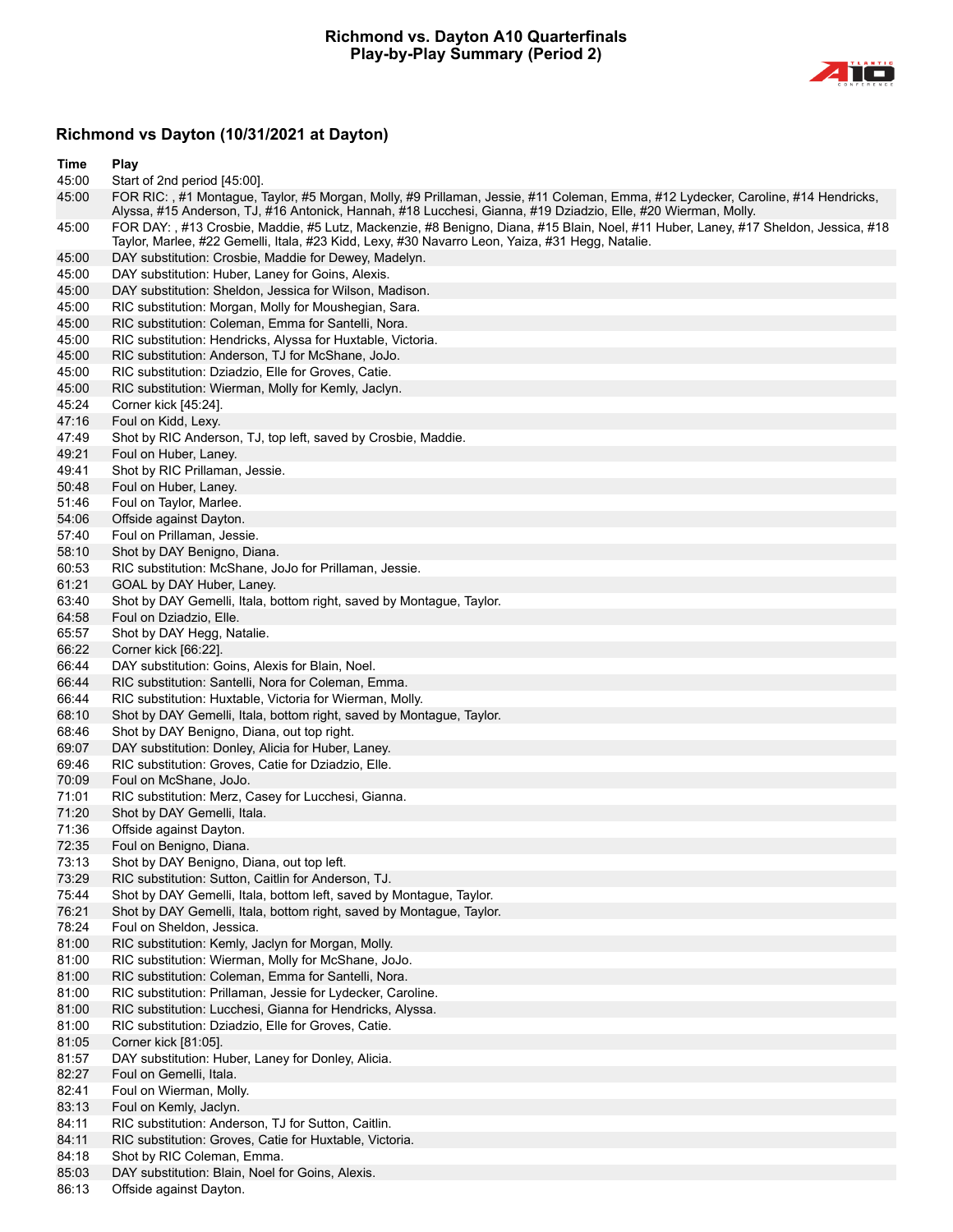

## **Richmond vs Dayton (10/31/2021 at Dayton)**

| Time           | Play                                                                                                                                                                                                                                              |
|----------------|---------------------------------------------------------------------------------------------------------------------------------------------------------------------------------------------------------------------------------------------------|
| 45:00          | Start of 2nd period [45:00].                                                                                                                                                                                                                      |
| 45:00          | FOR RIC:, #1 Montague, Taylor, #5 Morgan, Molly, #9 Prillaman, Jessie, #11 Coleman, Emma, #12 Lydecker, Caroline, #14 Hendricks,<br>Alyssa, #15 Anderson, TJ, #16 Antonick, Hannah, #18 Lucchesi, Gianna, #19 Dziadzio, Elle, #20 Wierman, Molly. |
| 45:00          | FOR DAY:, #13 Crosbie, Maddie, #5 Lutz, Mackenzie, #8 Benigno, Diana, #15 Blain, Noel, #11 Huber, Laney, #17 Sheldon, Jessica, #18<br>Taylor, Marlee, #22 Gemelli, Itala, #23 Kidd, Lexy, #30 Navarro Leon, Yaiza, #31 Hegg, Natalie.             |
| 45:00          | DAY substitution: Crosbie, Maddie for Dewey, Madelyn.                                                                                                                                                                                             |
| 45:00          | DAY substitution: Huber, Laney for Goins, Alexis.                                                                                                                                                                                                 |
| 45:00          | DAY substitution: Sheldon, Jessica for Wilson, Madison.                                                                                                                                                                                           |
| 45:00          | RIC substitution: Morgan, Molly for Moushegian, Sara.                                                                                                                                                                                             |
| 45:00          | RIC substitution: Coleman, Emma for Santelli, Nora.                                                                                                                                                                                               |
| 45:00          | RIC substitution: Hendricks, Alyssa for Huxtable, Victoria.                                                                                                                                                                                       |
| 45:00          | RIC substitution: Anderson, TJ for McShane, JoJo.                                                                                                                                                                                                 |
| 45:00          | RIC substitution: Dziadzio, Elle for Groves, Catie.                                                                                                                                                                                               |
| 45:00          | RIC substitution: Wierman, Molly for Kemly, Jaclyn.                                                                                                                                                                                               |
| 45:24          | Corner kick [45:24].                                                                                                                                                                                                                              |
| 47:16          | Foul on Kidd, Lexy.                                                                                                                                                                                                                               |
| 47:49          | Shot by RIC Anderson, TJ, top left, saved by Crosbie, Maddie.                                                                                                                                                                                     |
| 49:21          | Foul on Huber, Laney.                                                                                                                                                                                                                             |
| 49:41          | Shot by RIC Prillaman, Jessie.                                                                                                                                                                                                                    |
| 50:48          | Foul on Huber, Laney.                                                                                                                                                                                                                             |
| 51:46          | Foul on Taylor, Marlee.                                                                                                                                                                                                                           |
| 54:06          | Offside against Dayton.                                                                                                                                                                                                                           |
| 57:40          | Foul on Prillaman, Jessie.                                                                                                                                                                                                                        |
| 58:10          | Shot by DAY Benigno, Diana.                                                                                                                                                                                                                       |
| 60:53          | RIC substitution: McShane, JoJo for Prillaman, Jessie.                                                                                                                                                                                            |
| 61:21          | GOAL by DAY Huber, Laney.                                                                                                                                                                                                                         |
| 63:40          | Shot by DAY Gemelli, Itala, bottom right, saved by Montague, Taylor.                                                                                                                                                                              |
| 64:58          | Foul on Dziadzio, Elle.                                                                                                                                                                                                                           |
| 65:57          | Shot by DAY Hegg, Natalie.                                                                                                                                                                                                                        |
| 66:22          | Corner kick [66:22].                                                                                                                                                                                                                              |
| 66:44          | DAY substitution: Goins, Alexis for Blain, Noel.                                                                                                                                                                                                  |
| 66:44          | RIC substitution: Santelli, Nora for Coleman, Emma.                                                                                                                                                                                               |
| 66:44          | RIC substitution: Huxtable, Victoria for Wierman, Molly.                                                                                                                                                                                          |
| 68:10<br>68:46 | Shot by DAY Gemelli, Itala, bottom right, saved by Montague, Taylor.<br>Shot by DAY Benigno, Diana, out top right.                                                                                                                                |
| 69:07          | DAY substitution: Donley, Alicia for Huber, Laney.                                                                                                                                                                                                |
| 69:46          | RIC substitution: Groves, Catie for Dziadzio, Elle.                                                                                                                                                                                               |
| 70:09          | Foul on McShane, JoJo.                                                                                                                                                                                                                            |
| 71:01          | RIC substitution: Merz, Casey for Lucchesi, Gianna.                                                                                                                                                                                               |
| 71:20          | Shot by DAY Gemelli, Itala.                                                                                                                                                                                                                       |
| 71:36          | Offside against Dayton.                                                                                                                                                                                                                           |
| 72:35          | Foul on Benigno, Diana.                                                                                                                                                                                                                           |
| 73:13          | Shot by DAY Benigno, Diana, out top left.                                                                                                                                                                                                         |
| 73:29          | RIC substitution: Sutton, Caitlin for Anderson, TJ.                                                                                                                                                                                               |
| 75:44          | Shot by DAY Gemelli, Itala, bottom left, saved by Montague, Taylor.                                                                                                                                                                               |
| 76:21          | Shot by DAY Gemelli, Itala, bottom right, saved by Montague, Taylor.                                                                                                                                                                              |
| 78:24          | Foul on Sheldon, Jessica.                                                                                                                                                                                                                         |
| 81:00          | RIC substitution: Kemly, Jaclyn for Morgan, Molly.                                                                                                                                                                                                |
| 81:00          | RIC substitution: Wierman, Molly for McShane, JoJo.                                                                                                                                                                                               |
| 81:00          | RIC substitution: Coleman, Emma for Santelli, Nora.                                                                                                                                                                                               |
| 81:00          | RIC substitution: Prillaman, Jessie for Lydecker, Caroline.                                                                                                                                                                                       |
| 81:00          | RIC substitution: Lucchesi, Gianna for Hendricks, Alyssa.                                                                                                                                                                                         |
| 81:00<br>81:05 | RIC substitution: Dziadzio, Elle for Groves, Catie.<br>Corner kick [81:05].                                                                                                                                                                       |
| 81:57          | DAY substitution: Huber, Laney for Donley, Alicia.                                                                                                                                                                                                |
| 82:27          | Foul on Gemelli, Itala.                                                                                                                                                                                                                           |
| 82:41          | Foul on Wierman, Molly.                                                                                                                                                                                                                           |
| 83:13          | Foul on Kemly, Jaclyn.                                                                                                                                                                                                                            |
| 84:11          | RIC substitution: Anderson, TJ for Sutton, Caitlin.                                                                                                                                                                                               |
| 84:11          | RIC substitution: Groves, Catie for Huxtable, Victoria.                                                                                                                                                                                           |
| 84:18          | Shot by RIC Coleman, Emma.                                                                                                                                                                                                                        |

- 85:03 DAY substitution: Blain, Noel for Goins, Alexis.<br>86:13 Offside against Dayton.
- Offside against Dayton.